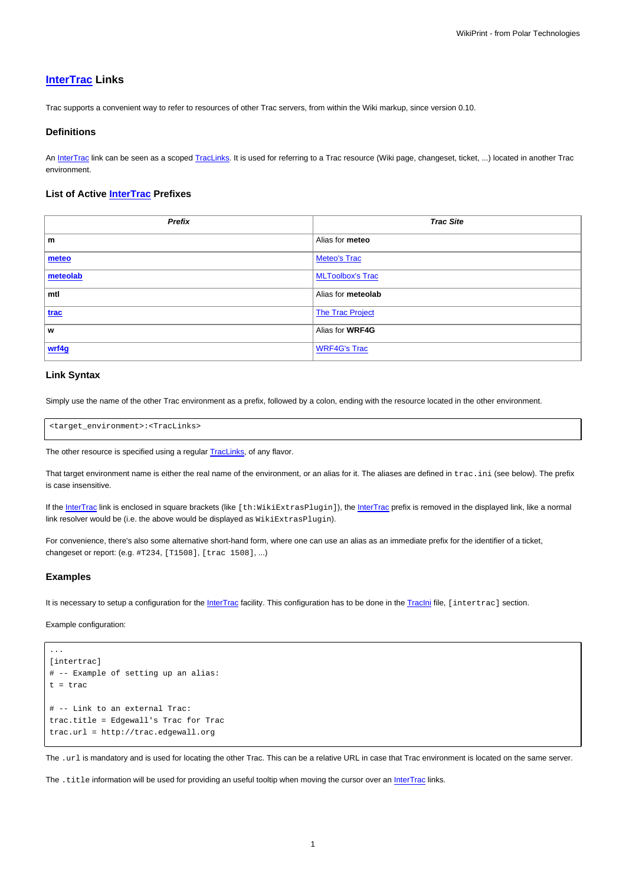# **[InterTrac](https://meteo.unican.es/trac/wiki/InterTrac) Links**

Trac supports a convenient way to refer to resources of other Trac servers, from within the Wiki markup, since version 0.10.

#### **Definitions**

An [InterTrac](https://meteo.unican.es/trac/wiki/InterTrac) link can be seen as a scoped [TracLinks](https://meteo.unican.es/trac/wiki/TracLinks). It is used for referring to a Trac resource (Wiki page, changeset, ticket, ...) located in another Trac environment.

### **List of Active [InterTrac](https://meteo.unican.es/trac/wiki/InterTrac) Prefixes**

| Prefix   | <b>Trac Site</b>        |
|----------|-------------------------|
| m        | Alias for meteo         |
| meteo    | <b>Meteo's Trac</b>     |
| meteolab | <b>MLToolbox's Trac</b> |
| mtl      | Alias for meteolab      |
| trac     | <b>The Trac Project</b> |
| W        | Alias for WRF4G         |
| wrf4g    | <b>WRF4G's Trac</b>     |

## **Link Syntax**

Simply use the name of the other Trac environment as a prefix, followed by a colon, ending with the resource located in the other environment.

<target\_environment>:<TracLinks>

The other resource is specified using a regular **[TracLinks](https://meteo.unican.es/trac/wiki/TracLinks)**, of any flavor.

That target environment name is either the real name of the environment, or an alias for it. The aliases are defined in trac.ini (see below). The prefix is case insensitive.

If the [InterTrac](https://meteo.unican.es/trac/wiki/InterTrac) link is enclosed in square brackets (like [th:WikiExtrasPlugin]), the InterTrac prefix is removed in the displayed link, like a normal link resolver would be (i.e. the above would be displayed as  $WikikkrasPlugin$ ).

For convenience, there's also some alternative short-hand form, where one can use an alias as an immediate prefix for the identifier of a ticket, changeset or report: (e.g. #T234, [T1508], [trac 1508], ...)

#### **Examples**

...

It is necessary to setup a configuration for the [InterTrac](https://meteo.unican.es/trac/wiki/InterTrac) facility. This configuration has to be done in the [TracIni](https://meteo.unican.es/trac/wiki/TracIni) file, [intertrac] section.

Example configuration:

```
[intertrac]
# -- Example of setting up an alias:
t = trac
# -- Link to an external Trac:
trac.title = Edgewall's Trac for Trac
trac.url = http://trac.edgewall.org
```
The .url is mandatory and is used for locating the other Trac. This can be a relative URL in case that Trac environment is located on the same server.

The . title information will be used for providing an useful tooltip when moving the cursor over an [InterTrac](https://meteo.unican.es/trac/wiki/InterTrac) links.